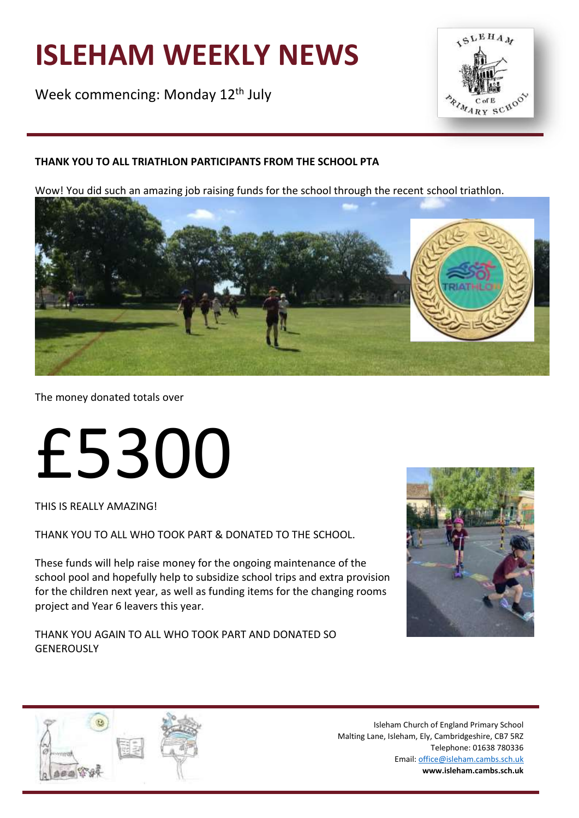# **ISLEHAM WEEKLY NEWS**

Week commencing: Monday 12<sup>th</sup> July



## **THANK YOU TO ALL TRIATHLON PARTICIPANTS FROM THE SCHOOL PTA**

Wow! You did such an amazing job raising funds for the school through the recent school triathlon.



The money donated totals over

# £5300

THIS IS REALLY AMAZING!

THANK YOU TO ALL WHO TOOK PART & DONATED TO THE SCHOOL.

These funds will help raise money for the ongoing maintenance of the school pool and hopefully help to subsidize school trips and extra provision for the children next year, as well as funding items for the changing rooms project and Year 6 leavers this year.

THANK YOU AGAIN TO ALL WHO TOOK PART AND DONATED SO **GENEROUSLY** 



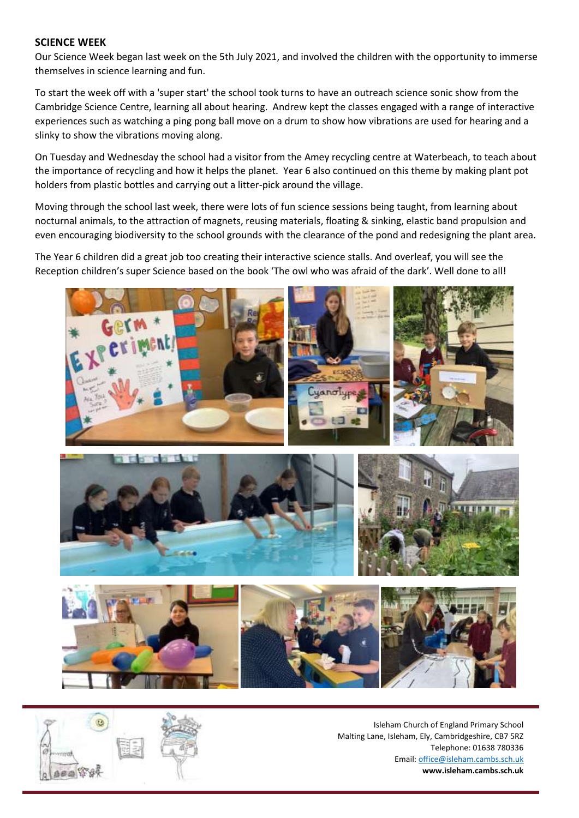#### **SCIENCE WEEK**

Our Science Week began last week on the 5th July 2021, and involved the children with the opportunity to immerse themselves in science learning and fun.

To start the week off with a 'super start' the school took turns to have an outreach science sonic show from the Cambridge Science Centre, learning all about hearing. Andrew kept the classes engaged with a range of interactive experiences such as watching a ping pong ball move on a drum to show how vibrations are used for hearing and a slinky to show the vibrations moving along.

On Tuesday and Wednesday the school had a visitor from the Amey recycling centre at Waterbeach, to teach about the importance of recycling and how it helps the planet. Year 6 also continued on this theme by making plant pot holders from plastic bottles and carrying out a litter-pick around the village.

Moving through the school last week, there were lots of fun science sessions being taught, from learning about nocturnal animals, to the attraction of magnets, reusing materials, floating & sinking, elastic band propulsion and even encouraging biodiversity to the school grounds with the clearance of the pond and redesigning the plant area.

The Year 6 children did a great job too creating their interactive science stalls. And overleaf, you will see the Reception children's super Science based on the book 'The owl who was afraid of the dark'. Well done to all!



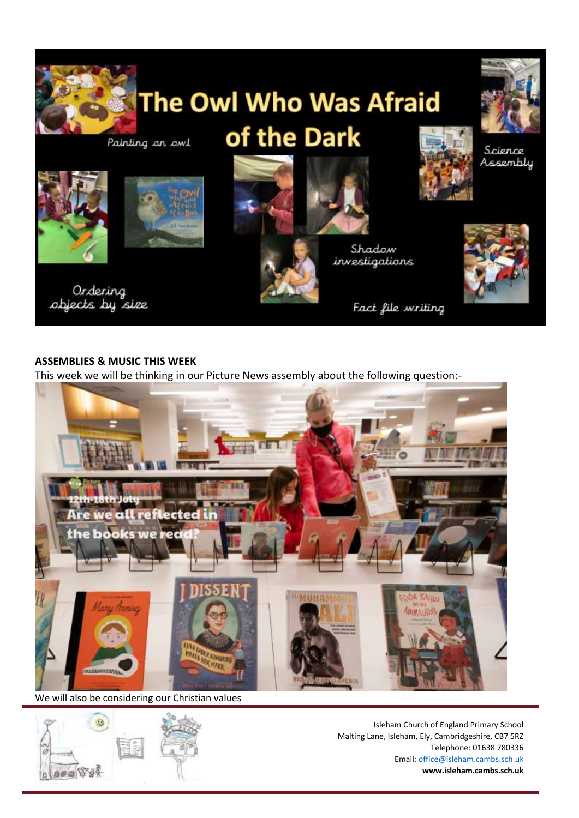

#### **ASSEMBLIES & MUSIC THIS WEEK**

This week we will be thinking in our Picture News assembly about the following question:-



We will also be considering our Christian values